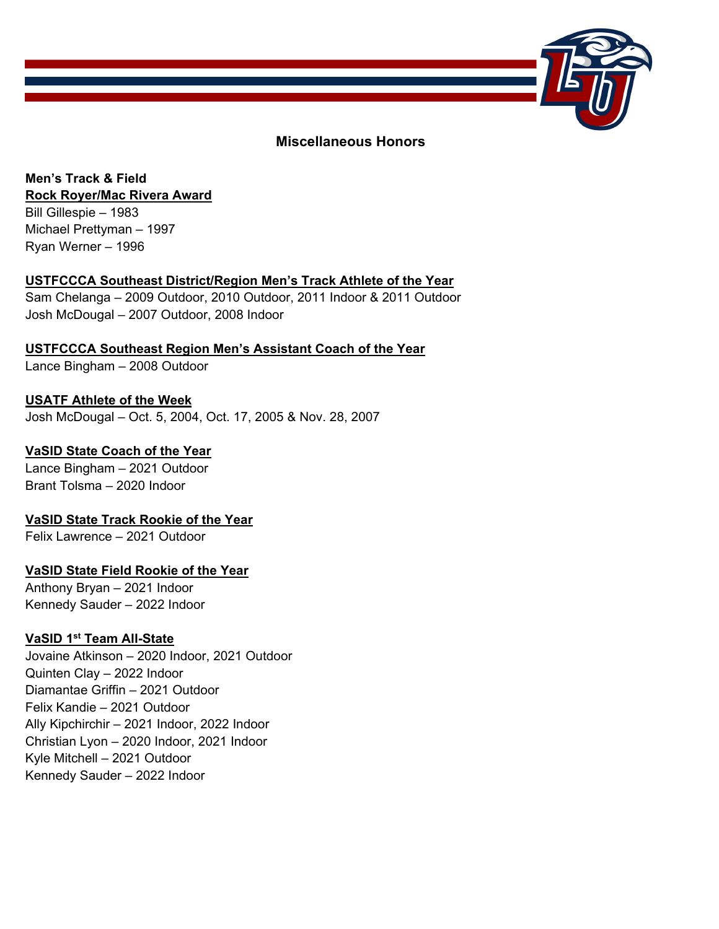

### **Miscellaneous Honors**

### **Men's Track & Field Rock Royer/Mac Rivera Award**

Bill Gillespie – 1983 Michael Prettyman – 1997 Ryan Werner – 1996

### **USTFCCCA Southeast District/Region Men's Track Athlete of the Year**

Sam Chelanga – 2009 Outdoor, 2010 Outdoor, 2011 Indoor & 2011 Outdoor Josh McDougal – 2007 Outdoor, 2008 Indoor

**USTFCCCA Southeast Region Men's Assistant Coach of the Year** 

Lance Bingham – 2008 Outdoor

### **USATF Athlete of the Week**  Josh McDougal – Oct. 5, 2004, Oct. 17, 2005 & Nov. 28, 2007

### **VaSID State Coach of the Year**

Lance Bingham – 2021 Outdoor Brant Tolsma – 2020 Indoor

# **VaSID State Track Rookie of the Year**

Felix Lawrence – 2021 Outdoor

### **VaSID State Field Rookie of the Year**

Anthony Bryan – 2021 Indoor Kennedy Sauder – 2022 Indoor

### **VaSID 1st Team All-State**

Jovaine Atkinson – 2020 Indoor, 2021 Outdoor Quinten Clay – 2022 Indoor Diamantae Griffin – 2021 Outdoor Felix Kandie – 2021 Outdoor Ally Kipchirchir – 2021 Indoor, 2022 Indoor Christian Lyon – 2020 Indoor, 2021 Indoor Kyle Mitchell – 2021 Outdoor Kennedy Sauder – 2022 Indoor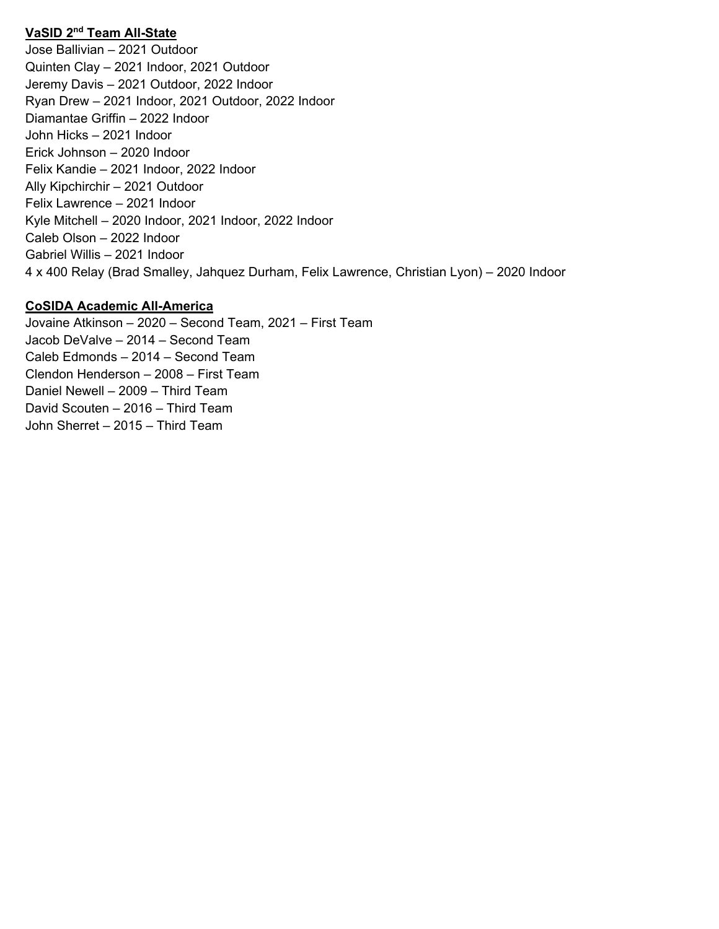### **VaSID 2nd Team All-State**

Jose Ballivian – 2021 Outdoor Quinten Clay – 2021 Indoor, 2021 Outdoor Jeremy Davis – 2021 Outdoor, 2022 Indoor Ryan Drew – 2021 Indoor, 2021 Outdoor, 2022 Indoor Diamantae Griffin – 2022 Indoor John Hicks – 2021 Indoor Erick Johnson – 2020 Indoor Felix Kandie – 2021 Indoor, 2022 Indoor Ally Kipchirchir – 2021 Outdoor Felix Lawrence – 2021 Indoor Kyle Mitchell – 2020 Indoor, 2021 Indoor, 2022 Indoor Caleb Olson – 2022 Indoor Gabriel Willis – 2021 Indoor 4 x 400 Relay (Brad Smalley, Jahquez Durham, Felix Lawrence, Christian Lyon) – 2020 Indoor

#### **CoSIDA Academic All-America**

Jovaine Atkinson – 2020 – Second Team, 2021 – First Team Jacob DeValve – 2014 – Second Team Caleb Edmonds – 2014 – Second Team Clendon Henderson – 2008 – First Team Daniel Newell – 2009 – Third Team David Scouten – 2016 – Third Team John Sherret – 2015 – Third Team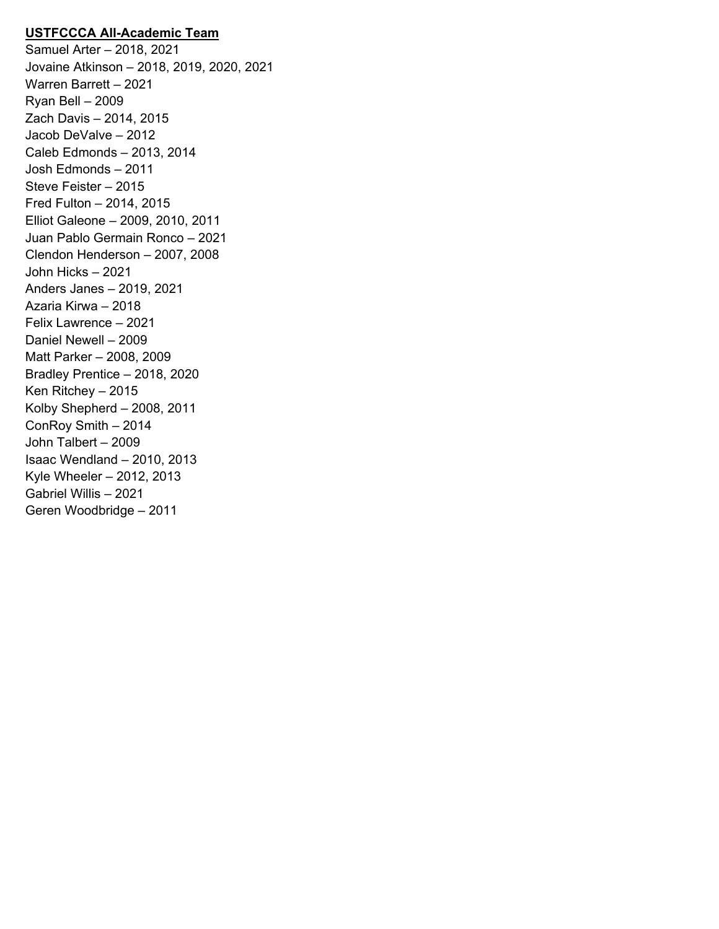### **USTFCCCA All-Academic Team**

Samuel Arter – 2018, 2021 Jovaine Atkinson – 2018, 2019, 2020, 2021 Warren Barrett – 2021 Ryan Bell – 2009 Zach Davis – 2014, 2015 Jacob DeValve – 2012 Caleb Edmonds – 2013, 2014 Josh Edmonds – 2011 Steve Feister – 2015 Fred Fulton – 2014, 2015 Elliot Galeone – 2009, 2010, 2011 Juan Pablo Germain Ronco – 2021 Clendon Henderson – 2007, 2008 John Hicks – 2021 Anders Janes – 2019, 2021 Azaria Kirwa – 2018 Felix Lawrence – 2021 Daniel Newell – 2009 Matt Parker – 2008, 2009 Bradley Prentice – 2018, 2020 Ken Ritchey – 2015 Kolby Shepherd – 2008, 2011 ConRoy Smith – 2014 John Talbert – 2009 Isaac Wendland – 2010, 2013 Kyle Wheeler – 2012, 2013 Gabriel Willis – 2021 Geren Woodbridge – 2011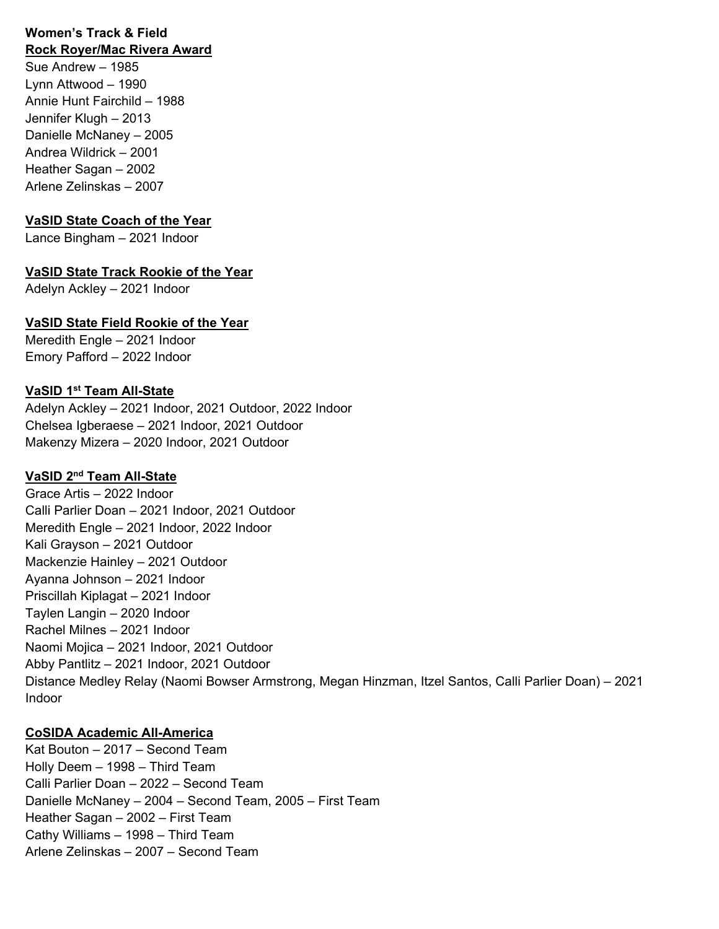#### **Women's Track & Field Rock Royer/Mac Rivera Award**

Sue Andrew – 1985 Lynn Attwood – 1990 Annie Hunt Fairchild – 1988 Jennifer Klugh – 2013 Danielle McNaney – 2005 Andrea Wildrick – 2001 Heather Sagan – 2002 Arlene Zelinskas – 2007

#### **VaSID State Coach of the Year**

Lance Bingham – 2021 Indoor

#### **VaSID State Track Rookie of the Year**

Adelyn Ackley – 2021 Indoor

## **VaSID State Field Rookie of the Year**

Meredith Engle – 2021 Indoor Emory Pafford – 2022 Indoor

### **VaSID 1st Team All-State**

Adelyn Ackley – 2021 Indoor, 2021 Outdoor, 2022 Indoor Chelsea Igberaese – 2021 Indoor, 2021 Outdoor Makenzy Mizera – 2020 Indoor, 2021 Outdoor

### **VaSID 2nd Team All-State**

Grace Artis – 2022 Indoor Calli Parlier Doan – 2021 Indoor, 2021 Outdoor Meredith Engle – 2021 Indoor, 2022 Indoor Kali Grayson – 2021 Outdoor Mackenzie Hainley – 2021 Outdoor Ayanna Johnson – 2021 Indoor Priscillah Kiplagat – 2021 Indoor Taylen Langin – 2020 Indoor Rachel Milnes – 2021 Indoor Naomi Mojica – 2021 Indoor, 2021 Outdoor Abby Pantlitz – 2021 Indoor, 2021 Outdoor Distance Medley Relay (Naomi Bowser Armstrong, Megan Hinzman, Itzel Santos, Calli Parlier Doan) – 2021 Indoor

### **CoSIDA Academic All-America**

Kat Bouton – 2017 – Second Team Holly Deem – 1998 – Third Team Calli Parlier Doan – 2022 – Second Team Danielle McNaney – 2004 – Second Team, 2005 – First Team Heather Sagan – 2002 – First Team Cathy Williams – 1998 – Third Team Arlene Zelinskas – 2007 – Second Team